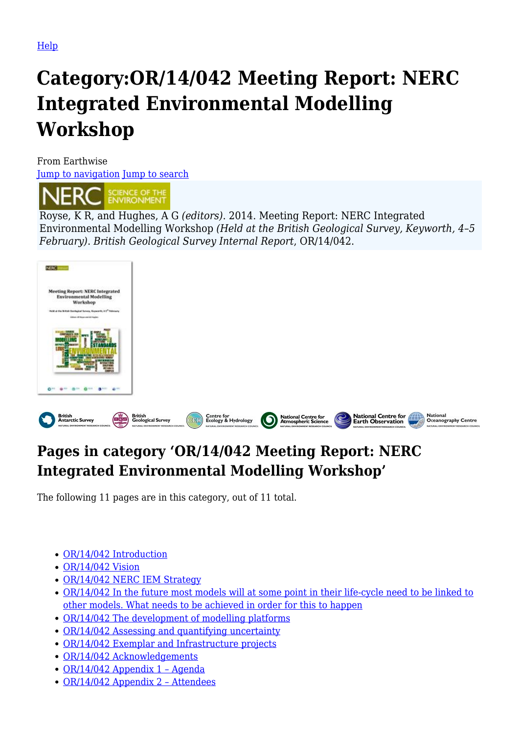# **Category:OR/14/042 Meeting Report: NERC Integrated Environmental Modelling Workshop**

From Earthwise [Jump to navigation](#page--1-0) [Jump to search](#page--1-0)



Royse, K R, and Hughes, A G *(editors)*. 2014. Meeting Report: NERC Integrated Environmental Modelling Workshop *(Held at the British Geological Survey, Keyworth, 4–5 February)*. *British Geological Survey Internal Report*, OR/14/042.



# **Pages in category 'OR/14/042 Meeting Report: NERC Integrated Environmental Modelling Workshop'**

The following 11 pages are in this category, out of 11 total.

- [OR/14/042 Introduction](http://earthwise.bgs.ac.uk/index.php/OR/14/042_Introduction)
- [OR/14/042 Vision](http://earthwise.bgs.ac.uk/index.php/OR/14/042_Vision)
- [OR/14/042 NERC IEM Strategy](http://earthwise.bgs.ac.uk/index.php/OR/14/042_NERC_IEM_Strategy)
- [OR/14/042 In the future most models will at some point in their life-cycle need to be linked to](http://earthwise.bgs.ac.uk/index.php/OR/14/042_In_the_future_most_models_will_at_some_point_in_their_life-cycle_need_to_be_linked_to_other_models._What_needs_to_be_achieved_in_order_for_this_to_happen) [other models. What needs to be achieved in order for this to happen](http://earthwise.bgs.ac.uk/index.php/OR/14/042_In_the_future_most_models_will_at_some_point_in_their_life-cycle_need_to_be_linked_to_other_models._What_needs_to_be_achieved_in_order_for_this_to_happen)
- [OR/14/042 The development of modelling platforms](http://earthwise.bgs.ac.uk/index.php/OR/14/042_The_development_of_modelling_platforms)
- [OR/14/042 Assessing and quantifying uncertainty](http://earthwise.bgs.ac.uk/index.php/OR/14/042_Assessing_and_quantifying_uncertainty)
- [OR/14/042 Exemplar and Infrastructure projects](http://earthwise.bgs.ac.uk/index.php/OR/14/042_Exemplar_and_Infrastructure_projects)
- [OR/14/042 Acknowledgements](http://earthwise.bgs.ac.uk/index.php/OR/14/042_Acknowledgements)
- [OR/14/042 Appendix 1 Agenda](http://earthwise.bgs.ac.uk/index.php/OR/14/042_Appendix_1_%E2%80%93_Agenda)
- [OR/14/042 Appendix 2 Attendees](http://earthwise.bgs.ac.uk/index.php/OR/14/042_Appendix_2_%E2%80%93_Attendees)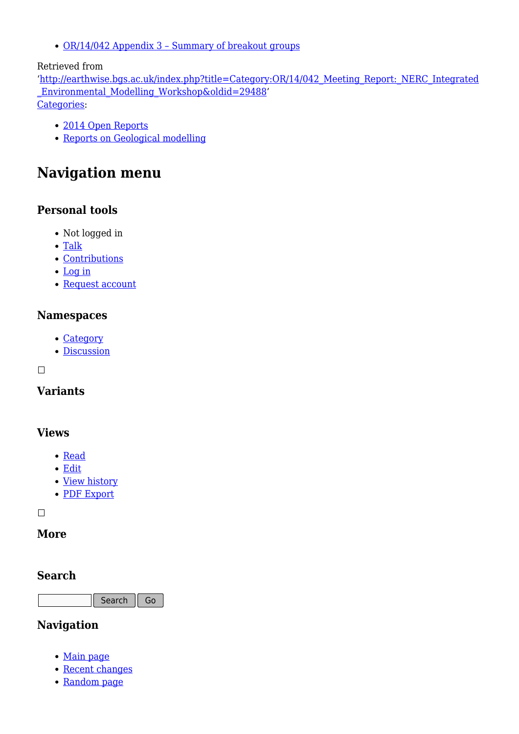[OR/14/042 Appendix 3 – Summary of breakout groups](http://earthwise.bgs.ac.uk/index.php/OR/14/042_Appendix_3_%E2%80%93_Summary_of_breakout_groups)

#### Retrieved from

'[http://earthwise.bgs.ac.uk/index.php?title=Category:OR/14/042\\_Meeting\\_Report:\\_NERC\\_Integrated](http://earthwise.bgs.ac.uk/index.php?title=Category:OR/14/042_Meeting_Report:_NERC_Integrated_Environmental_Modelling_Workshop&oldid=29488) [\\_Environmental\\_Modelling\\_Workshop&oldid=29488](http://earthwise.bgs.ac.uk/index.php?title=Category:OR/14/042_Meeting_Report:_NERC_Integrated_Environmental_Modelling_Workshop&oldid=29488)' [Categories:](http://earthwise.bgs.ac.uk/index.php/Special:Categories)

- [2014 Open Reports](http://earthwise.bgs.ac.uk/index.php/Category:2014_Open_Reports)
- [Reports on Geological modelling](http://earthwise.bgs.ac.uk/index.php/Category:Reports_on_Geological_modelling)

# **Navigation menu**

## **Personal tools**

- Not logged in
- [Talk](http://earthwise.bgs.ac.uk/index.php/Special:MyTalk)
- [Contributions](http://earthwise.bgs.ac.uk/index.php/Special:MyContributions)
- [Log in](http://earthwise.bgs.ac.uk/index.php?title=Special:UserLogin&returnto=Category%3AOR%2F14%2F042+Meeting+Report%3A+NERC+Integrated+Environmental+Modelling+Workshop&returntoquery=action%3Dmpdf)
- [Request account](http://earthwise.bgs.ac.uk/index.php/Special:RequestAccount)

## **Namespaces**

- [Category](http://earthwise.bgs.ac.uk/index.php/Category:OR/14/042_Meeting_Report:_NERC_Integrated_Environmental_Modelling_Workshop)
- [Discussion](http://earthwise.bgs.ac.uk/index.php?title=Category_talk:OR/14/042_Meeting_Report:_NERC_Integrated_Environmental_Modelling_Workshop&action=edit&redlink=1)

 $\Box$ 

# **Variants**

## **Views**

- [Read](http://earthwise.bgs.ac.uk/index.php/Category:OR/14/042_Meeting_Report:_NERC_Integrated_Environmental_Modelling_Workshop)
- [Edit](http://earthwise.bgs.ac.uk/index.php?title=Category:OR/14/042_Meeting_Report:_NERC_Integrated_Environmental_Modelling_Workshop&action=edit)
- [View history](http://earthwise.bgs.ac.uk/index.php?title=Category:OR/14/042_Meeting_Report:_NERC_Integrated_Environmental_Modelling_Workshop&action=history)
- [PDF Export](http://earthwise.bgs.ac.uk/index.php?title=Category:OR/14/042_Meeting_Report:_NERC_Integrated_Environmental_Modelling_Workshop&action=mpdf)

 $\Box$ 

## **More**

#### **Search**

Search Go

## **Navigation**

- [Main page](http://earthwise.bgs.ac.uk/index.php/Main_Page)
- [Recent changes](http://earthwise.bgs.ac.uk/index.php/Special:RecentChanges)
- [Random page](http://earthwise.bgs.ac.uk/index.php/Special:Random)